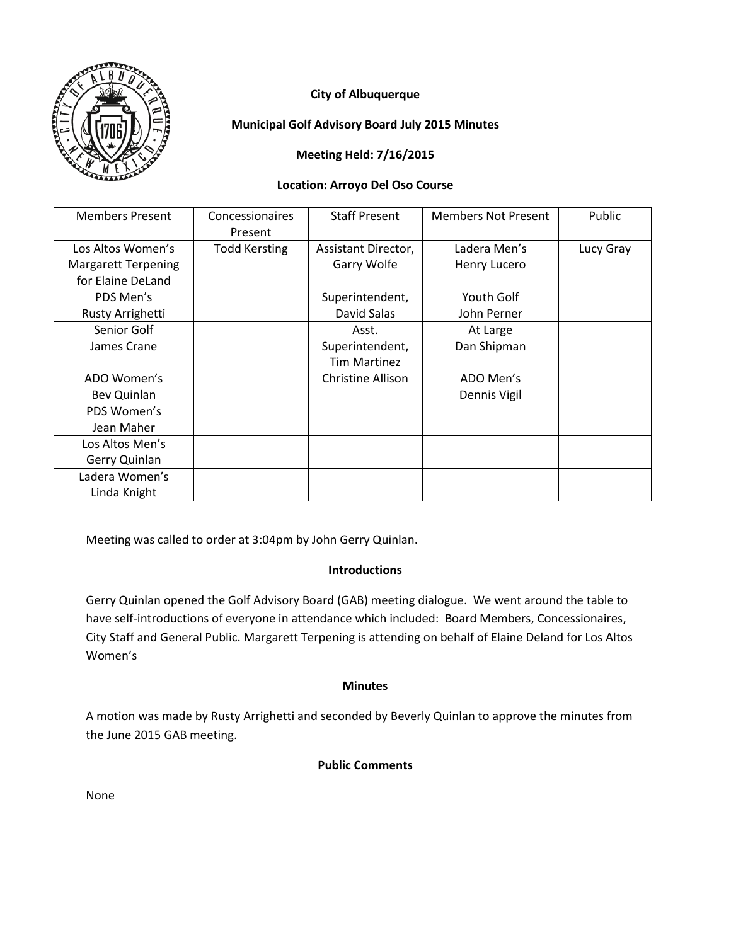

# **City of Albuquerque**

## **Municipal Golf Advisory Board July 2015 Minutes**

## **Meeting Held: 7/16/2015**

#### **Location: Arroyo Del Oso Course**

| <b>Members Present</b>     | Concessionaires<br>Present | <b>Staff Present</b> | <b>Members Not Present</b> | Public    |
|----------------------------|----------------------------|----------------------|----------------------------|-----------|
| Los Altos Women's          | <b>Todd Kersting</b>       | Assistant Director,  | Ladera Men's               | Lucy Gray |
| <b>Margarett Terpening</b> |                            | Garry Wolfe          | Henry Lucero               |           |
| for Elaine DeLand          |                            |                      |                            |           |
| PDS Men's                  |                            | Superintendent,      | Youth Golf                 |           |
| Rusty Arrighetti           |                            | David Salas          | John Perner                |           |
| Senior Golf                |                            | Asst.                | At Large                   |           |
| James Crane                |                            | Superintendent,      | Dan Shipman                |           |
|                            |                            | <b>Tim Martinez</b>  |                            |           |
| ADO Women's                |                            | Christine Allison    | ADO Men's                  |           |
| Bev Quinlan                |                            |                      | Dennis Vigil               |           |
| PDS Women's                |                            |                      |                            |           |
| Jean Maher                 |                            |                      |                            |           |
| Los Altos Men's            |                            |                      |                            |           |
| Gerry Quinlan              |                            |                      |                            |           |
| Ladera Women's             |                            |                      |                            |           |
| Linda Knight               |                            |                      |                            |           |

Meeting was called to order at 3:04pm by John Gerry Quinlan.

## **Introductions**

Gerry Quinlan opened the Golf Advisory Board (GAB) meeting dialogue. We went around the table to have self-introductions of everyone in attendance which included: Board Members, Concessionaires, City Staff and General Public. Margarett Terpening is attending on behalf of Elaine Deland for Los Altos Women's

## **Minutes**

A motion was made by Rusty Arrighetti and seconded by Beverly Quinlan to approve the minutes from the June 2015 GAB meeting.

## **Public Comments**

None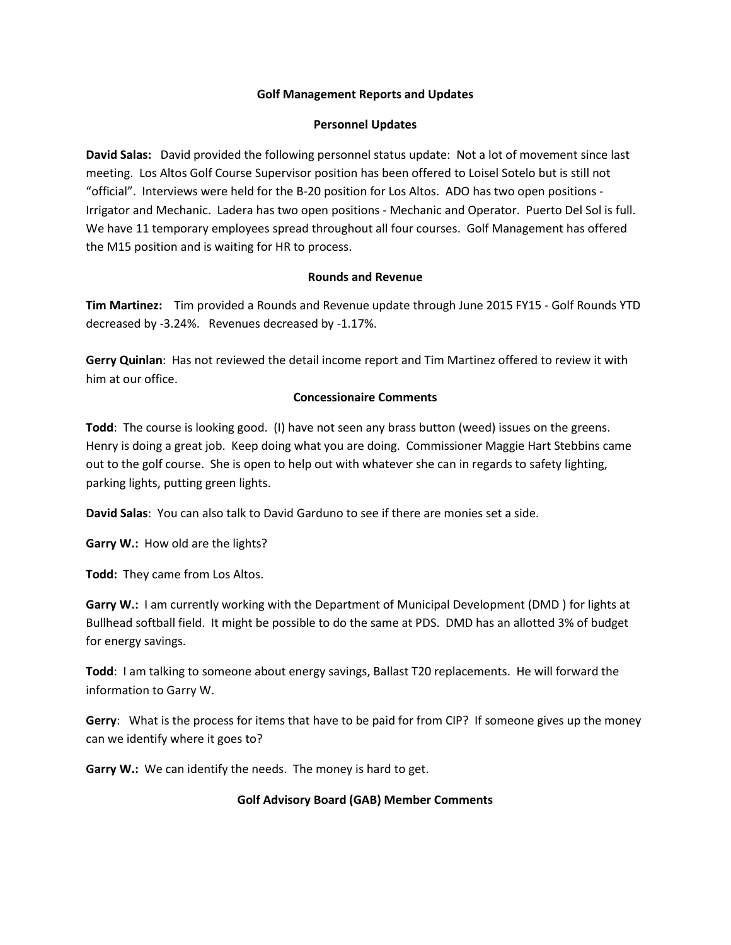#### **Golf Management Reports and Updates**

#### **Personnel Updates**

**David Salas:** David provided the following personnel status update: Not a lot of movement since last meeting. Los Altos Golf Course Supervisor position has been offered to Loisel Sotelo but is still not "official". Interviews were held for the B-20 position for Los Altos. ADO has two open positions - Irrigator and Mechanic. Ladera has two open positions - Mechanic and Operator. Puerto Del Sol is full. We have 11 temporary employees spread throughout all four courses. Golf Management has offered the M15 position and is waiting for HR to process.

#### **Rounds and Revenue**

**Tim Martinez:** Tim provided a Rounds and Revenue update through June 2015 FY15 - Golf Rounds YTD decreased by -3.24%. Revenues decreased by -1.17%.

**Gerry Quinlan**: Has not reviewed the detail income report and Tim Martinez offered to review it with him at our office.

### **Concessionaire Comments**

**Todd**: The course is looking good. (I) have not seen any brass button (weed) issues on the greens. Henry is doing a great job. Keep doing what you are doing. Commissioner Maggie Hart Stebbins came out to the golf course. She is open to help out with whatever she can in regards to safety lighting, parking lights, putting green lights.

**David Salas**: You can also talk to David Garduno to see if there are monies set a side.

**Garry W.:** How old are the lights?

**Todd:** They came from Los Altos.

**Garry W.:** I am currently working with the Department of Municipal Development (DMD ) for lights at Bullhead softball field. It might be possible to do the same at PDS. DMD has an allotted 3% of budget for energy savings.

**Todd**: I am talking to someone about energy savings, Ballast T20 replacements. He will forward the information to Garry W.

**Gerry**: What is the process for items that have to be paid for from CIP? If someone gives up the money can we identify where it goes to?

**Garry W.:** We can identify the needs. The money is hard to get.

### **Golf Advisory Board (GAB) Member Comments**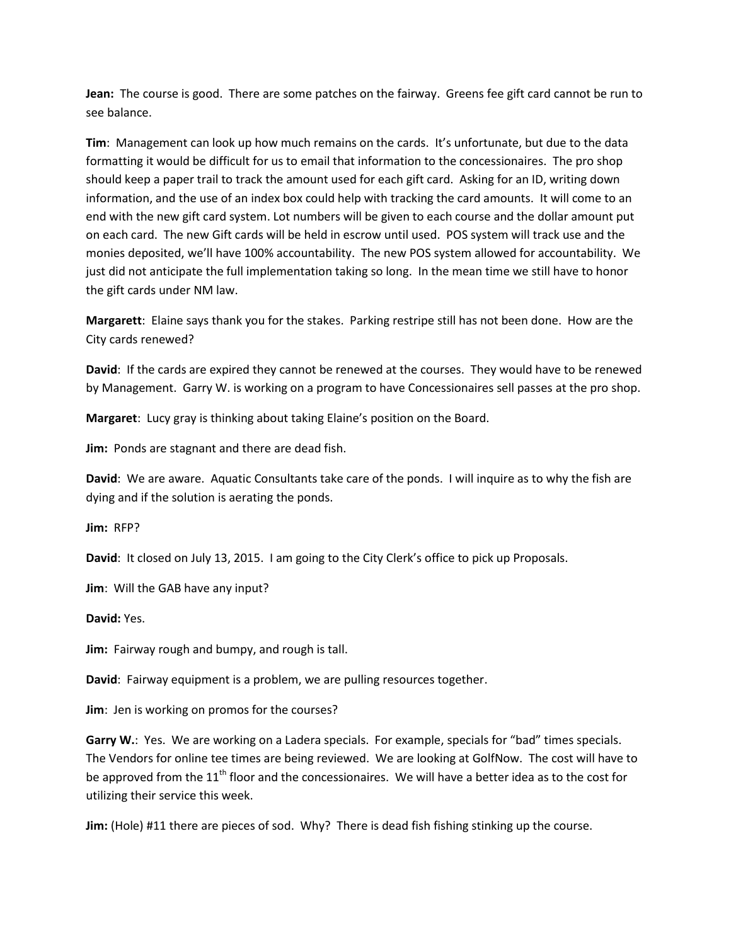**Jean:** The course is good. There are some patches on the fairway. Greens fee gift card cannot be run to see balance.

**Tim**: Management can look up how much remains on the cards. It's unfortunate, but due to the data formatting it would be difficult for us to email that information to the concessionaires. The pro shop should keep a paper trail to track the amount used for each gift card. Asking for an ID, writing down information, and the use of an index box could help with tracking the card amounts. It will come to an end with the new gift card system. Lot numbers will be given to each course and the dollar amount put on each card. The new Gift cards will be held in escrow until used. POS system will track use and the monies deposited, we'll have 100% accountability. The new POS system allowed for accountability. We just did not anticipate the full implementation taking so long. In the mean time we still have to honor the gift cards under NM law.

**Margarett**: Elaine says thank you for the stakes. Parking restripe still has not been done. How are the City cards renewed?

**David**: If the cards are expired they cannot be renewed at the courses. They would have to be renewed by Management. Garry W. is working on a program to have Concessionaires sell passes at the pro shop.

**Margaret**: Lucy gray is thinking about taking Elaine's position on the Board.

**Jim:** Ponds are stagnant and there are dead fish.

**David**: We are aware. Aquatic Consultants take care of the ponds. I will inquire as to why the fish are dying and if the solution is aerating the ponds.

**Jim:** RFP?

**David**: It closed on July 13, 2015. I am going to the City Clerk's office to pick up Proposals.

**Jim**: Will the GAB have any input?

**David:** Yes.

**Jim:** Fairway rough and bumpy, and rough is tall.

**David**: Fairway equipment is a problem, we are pulling resources together.

**Jim**: Jen is working on promos for the courses?

**Garry W.**: Yes. We are working on a Ladera specials. For example, specials for "bad" times specials. The Vendors for online tee times are being reviewed. We are looking at GolfNow. The cost will have to be approved from the 11<sup>th</sup> floor and the concessionaires. We will have a better idea as to the cost for utilizing their service this week.

**Jim:** (Hole) #11 there are pieces of sod. Why? There is dead fish fishing stinking up the course.